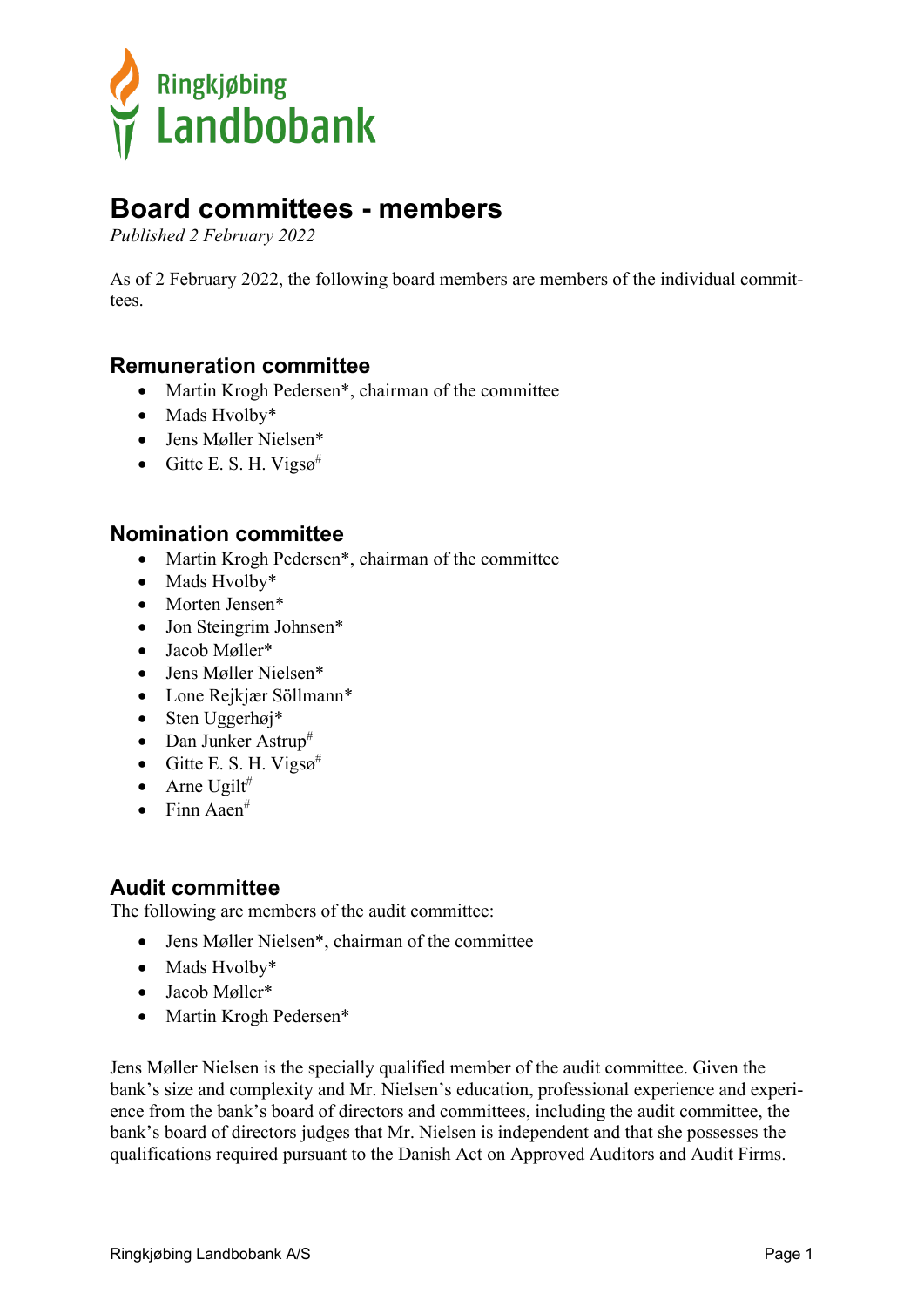

# **Board committees - members**

*Published 2 February 2022*

As of 2 February 2022, the following board members are members of the individual committees.

### **Remuneration committee**

- Martin Krogh Pedersen\*, chairman of the committee
- Mads Hvolby\*
- Jens Møller Nielsen\*
- Gitte E. S. H. Vigs $\varphi^{\#}$

#### **Nomination committee**

- Martin Krogh Pedersen\*, chairman of the committee
- Mads Hvolby\*
- Morten Jensen\*
- Jon Steingrim Johnsen\*
- Jacob Møller\*
- Jens Møller Nielsen\*
- Lone Rejkjær Söllmann\*
- Sten Uggerhøj\*
- Dan Junker Astrup<sup>#</sup>
- Gitte E. S. H. Vigs $\varphi^{\#}$
- Arne Ugilt#
- $\bullet$  Finn Aaen<sup>#</sup>

## **Audit committee**

The following are members of the audit committee:

- Jens Møller Nielsen\*, chairman of the committee
- Mads Hvolby\*
- Jacob Møller\*
- Martin Krogh Pedersen\*

Jens Møller Nielsen is the specially qualified member of the audit committee. Given the bank's size and complexity and Mr. Nielsen's education, professional experience and experience from the bank's board of directors and committees, including the audit committee, the bank's board of directors judges that Mr. Nielsen is independent and that she possesses the qualifications required pursuant to the Danish Act on Approved Auditors and Audit Firms.